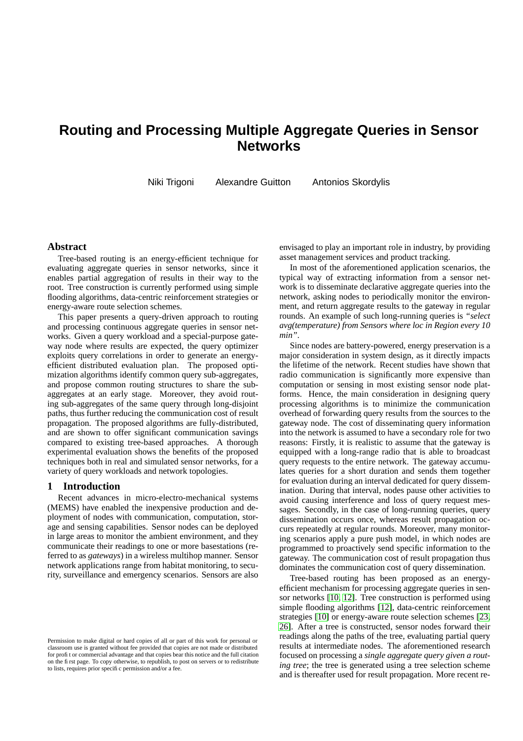# **Routing and Processing Multiple Aggregate Queries in Sensor Networks**

Niki Trigoni Alexandre Guitton Antonios Skordylis

## **Abstract**

Tree-based routing is an energy-efficient technique for evaluating aggregate queries in sensor networks, since it enables partial aggregation of results in their way to the root. Tree construction is currently performed using simple flooding algorithms, data-centric reinforcement strategies or energy-aware route selection schemes.

This paper presents a query-driven approach to routing and processing continuous aggregate queries in sensor networks. Given a query workload and a special-purpose gateway node where results are expected, the query optimizer exploits query correlations in order to generate an energyefficient distributed evaluation plan. The proposed optimization algorithms identify common query sub-aggregates, and propose common routing structures to share the subaggregates at an early stage. Moreover, they avoid routing sub-aggregates of the same query through long-disjoint paths, thus further reducing the communication cost of result propagation. The proposed algorithms are fully-distributed, and are shown to offer significant communication savings compared to existing tree-based approaches. A thorough experimental evaluation shows the benefits of the proposed techniques both in real and simulated sensor networks, for a variety of query workloads and network topologies.

## <span id="page-0-0"></span>**1 Introduction**

Recent advances in micro-electro-mechanical systems (MEMS) have enabled the inexpensive production and deployment of nodes with communication, computation, storage and sensing capabilities. Sensor nodes can be deployed in large areas to monitor the ambient environment, and they communicate their readings to one or more basestations (referred to as *gateways*) in a wireless multihop manner. Sensor network applications range from habitat monitoring, to security, surveillance and emergency scenarios. Sensors are also envisaged to play an important role in industry, by providing asset management services and product tracking.

In most of the aforementioned application scenarios, the typical way of extracting information from a sensor network is to disseminate declarative aggregate queries into the network, asking nodes to periodically monitor the environment, and return aggregate results to the gateway in regular rounds. An example of such long-running queries is *"select avg(temperature) from Sensors where loc in Region every 10 min"*.

Since nodes are battery-powered, energy preservation is a major consideration in system design, as it directly impacts the lifetime of the network. Recent studies have shown that radio communication is significantly more expensive than computation or sensing in most existing sensor node platforms. Hence, the main consideration in designing query processing algorithms is to minimize the communication overhead of forwarding query results from the sources to the gateway node. The cost of disseminating query information into the network is assumed to have a secondary role for two reasons: Firstly, it is realistic to assume that the gateway is equipped with a long-range radio that is able to broadcast query requests to the entire network. The gateway accumulates queries for a short duration and sends them together for evaluation during an interval dedicated for query dissemination. During that interval, nodes pause other activities to avoid causing interference and loss of query request messages. Secondly, in the case of long-running queries, query dissemination occurs once, whereas result propagation occurs repeatedly at regular rounds. Moreover, many monitoring scenarios apply a pure push model, in which nodes are programmed to proactively send specific information to the gateway. The communication cost of result propagation thus dominates the communication cost of query dissemination.

Tree-based routing has been proposed as an energyefficient mechanism for processing aggregate queries in sensor networks [\[10,](#page-12-0) [12\]](#page-12-1). Tree construction is performed using simple flooding algorithms [\[12\]](#page-12-1), data-centric reinforcement strategies [\[10\]](#page-12-0) or energy-aware route selection schemes [\[23,](#page-12-2) [26\]](#page-12-3). After a tree is constructed, sensor nodes forward their readings along the paths of the tree, evaluating partial query results at intermediate nodes. The aforementioned research focused on processing a *single aggregate query given a routing tree*; the tree is generated using a tree selection scheme and is thereafter used for result propagation. More recent re-

Permission to make digital or hard copies of all or part of this work for personal or classroom use is granted without fee provided that copies are not made or distributed for profit or commercial advantage and that copies bear this notice and the full citation on the first page. To copy otherwise, to republish, to post on servers or to redistribute to lists, requires prior specific permission and/or a fee.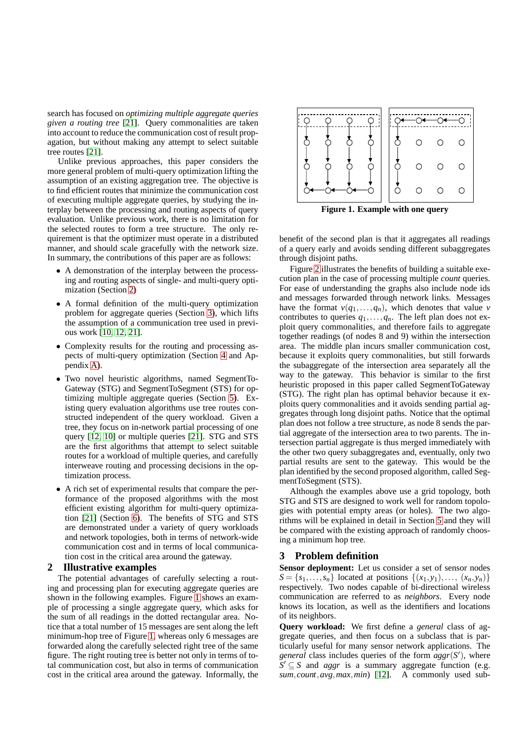search has focused on *optimizing multiple aggregate queries given a routing tree* [\[21\]](#page-12-4). Query commonalities are taken into account to reduce the communication cost of result propagation, but without making any attempt to select suitable tree routes [\[21\]](#page-12-4).

Unlike previous approaches, this paper considers the more general problem of multi-query optimization lifting the assumption of an existing aggregation tree. The objective is to find efficient routes that minimize the communication cost of executing multiple aggregate queries, by studying the interplay between the processing and routing aspects of query evaluation. Unlike previous work, there is no limitation for the selected routes to form a tree structure. The only requirement is that the optimizer must operate in a distributed manner, and should scale gracefully with the network size. In summary, the contributions of this paper are as follows:

- A demonstration of the interplay between the processing and routing aspects of single- and multi-query optimization (Section [2\)](#page-1-0)
- A formal definition of the multi-query optimization problem for aggregate queries (Section [3\)](#page-1-1), which lifts the assumption of a communication tree used in previous work [\[10,](#page-12-0) [12,](#page-12-1) [21\]](#page-12-4).
- Complexity results for the routing and processing aspects of multi-query optimization (Section [4](#page-3-0) and Appendix [A\)](#page-11-0).
- Two novel heuristic algorithms, named SegmentTo-Gateway (STG) and SegmentToSegment (STS) for optimizing multiple aggregate queries (Section [5\)](#page-3-1). Existing query evaluation algorithms use tree routes constructed independent of the query workload. Given a tree, they focus on in-network partial processing of one query [\[12,](#page-12-1) [10\]](#page-12-0) or multiple queries [\[21\]](#page-12-4). STG and STS are the first algorithms that attempt to select suitable routes for a workload of multiple queries, and carefully interweave routing and processing decisions in the optimization process.
- A rich set of experimental results that compare the performance of the proposed algorithms with the most efficient existing algorithm for multi-query optimization [\[21\]](#page-12-4) (Section [6\)](#page-6-0). The benefits of STG and STS are demonstrated under a variety of query workloads and network topologies, both in terms of network-wide communication cost and in terms of local communication cost in the critical area around the gateway.

## <span id="page-1-0"></span>**2 Illustrative examples**

The potential advantages of carefully selecting a routing and processing plan for executing aggregate queries are shown in the following examples. Figure [1](#page-1-2) shows an example of processing a single aggregate query, which asks for the sum of all readings in the dotted rectangular area. Notice that a total number of 15 messages are sent along the left minimum-hop tree of Figure [1,](#page-1-2) whereas only 6 messages are forwarded along the carefully selected right tree of the same figure. The right routing tree is better not only in terms of total communication cost, but also in terms of communication cost in the critical area around the gateway. Informally, the



<span id="page-1-2"></span>**Figure 1. Example with one query**

benefit of the second plan is that it aggregates all readings of a query early and avoids sending different subaggregates through disjoint paths.

Figure [2](#page-2-0) illustrates the benefits of building a suitable execution plan in the case of processing multiple *count* queries. For ease of understanding the graphs also include node ids and messages forwarded through network links. Messages have the format  $v(q_1,...,q_n)$ , which denotes that value *v* contributes to queries  $q_1, \ldots, q_n$ . The left plan does not exploit query commonalities, and therefore fails to aggregate together readings (of nodes 8 and 9) within the intersection area. The middle plan incurs smaller communication cost, because it exploits query commonalities, but still forwards the subaggregate of the intersection area separately all the way to the gateway. This behavior is similar to the first heuristic proposed in this paper called SegmentToGateway (STG). The right plan has optimal behavior because it exploits query commonalities and it avoids sending partial aggregates through long disjoint paths. Notice that the optimal plan does not follow a tree structure, as node 8 sends the partial aggregate of the intersection area to two parents. The intersection partial aggregate is thus merged immediately with the other two query subaggregates and, eventually, only two partial results are sent to the gateway. This would be the plan identified by the second proposed algorithm, called SegmentToSegment (STS).

Although the examples above use a grid topology, both STG and STS are designed to work well for random topologies with potential empty areas (or holes). The two algorithms will be explained in detail in Section [5](#page-3-1) and they will be compared with the existing approach of randomly choosing a minimum hop tree.

## <span id="page-1-1"></span>**3 Problem definition**

**Sensor deployment:** Let us consider a set of sensor nodes  $S = \{s_1, \ldots, s_n\}$  located at positions  $\{(x_1, y_1), \ldots, (x_n, y_n)\}$ respectively. Two nodes capable of bi-directional wireless communication are referred to as *neighbors*. Every node knows its location, as well as the identifiers and locations of its neighbors.

**Query workload:** We first define a *general* class of aggregate queries, and then focus on a subclass that is particularly useful for many sensor network applications. The *general* class includes queries of the form *aggr*(*S* 0 ), where  $S' \subseteq S$  and *aggr* is a summary aggregate function (e.g. *sum*, *count*,*avg*,*max*,*min*) [\[12\]](#page-12-1). A commonly used sub-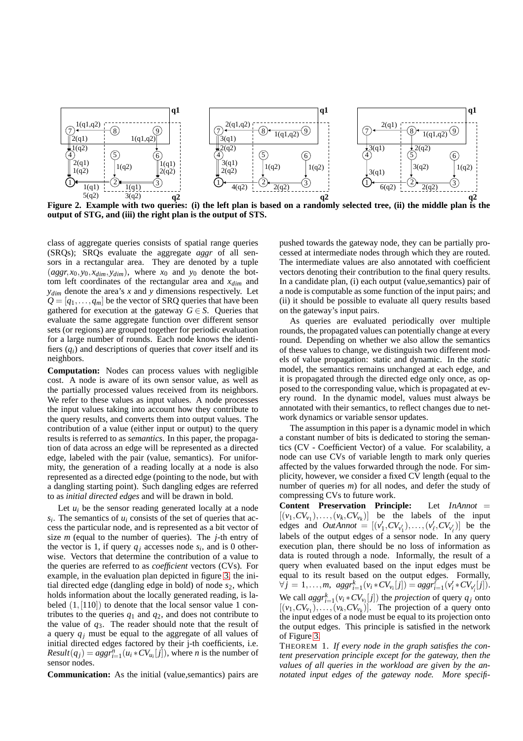

<span id="page-2-0"></span>Figure 2. Example with two queries: (i) the left plan is based on a randomly selected tree, (ii) the middle plan is the **output of STG, and (iii) the right plan is the output of STS.**

class of aggregate queries consists of spatial range queries (SRQs); SRQs evaluate the aggregate *aggr* of all sensors in a rectangular area. They are denoted by a tuple  $(aggr, x_0, y_0, x_{dim}, y_{dim})$ , where  $x_0$  and  $y_0$  denote the bottom left coordinates of the rectangular area and *xdim* and *ydim* denote the area's *x* and *y* dimensions respectively. Let  $Q = [q_1, \ldots, q_m]$  be the vector of SRQ queries that have been gathered for execution at the gateway  $G \in S$ . Queries that evaluate the same aggregate function over different sensor sets (or regions) are grouped together for periodic evaluation for a large number of rounds. Each node knows the identifiers (*qi*) and descriptions of queries that *cover* itself and its neighbors.

**Computation:** Nodes can process values with negligible cost. A node is aware of its own sensor value, as well as the partially processed values received from its neighbors. We refer to these values as input values. A node processes the input values taking into account how they contribute to the query results, and converts them into output values. The contribution of a value (either input or output) to the query results is referred to as *semantics*. In this paper, the propagation of data across an edge will be represented as a directed edge, labeled with the pair (value, semantics). For uniformity, the generation of a reading locally at a node is also represented as a directed edge (pointing to the node, but with a dangling starting point). Such dangling edges are referred to as *initial directed edges* and will be drawn in bold.

Let  $u_i$  be the sensor reading generated locally at a node  $s_i$ . The semantics of  $u_i$  consists of the set of queries that access the particular node, and is represented as a bit vector of size *m* (equal to the number of queries). The *j*-th entry of the vector is 1, if query  $q_j$  accesses node  $s_i$ , and is 0 otherwise. Vectors that determine the contribution of a value to the queries are referred to as *coefficient* vectors (CVs). For example, in the evaluation plan depicted in figure [3,](#page-4-0) the initial directed edge (dangling edge in bold) of node  $s_2$ , which holds information about the locally generated reading, is labeled  $(1, [110])$  to denote that the local sensor value 1 contributes to the queries  $q_1$  and  $q_2$ , and does not contribute to the value of *q*3. The reader should note that the result of a query *q<sup>j</sup>* must be equal to the aggregate of all values of initial directed edges factored by their j-th coefficients, i.e. *Result*( $q_j$ ) =  $aggr_{i=1}^n (u_i * CV_{u_i}[j])$ , where *n* is the number of sensor nodes.

**Communication:** As the initial (value,semantics) pairs are

pushed towards the gateway node, they can be partially processed at intermediate nodes through which they are routed. The intermediate values are also annotated with coefficient vectors denoting their contribution to the final query results. In a candidate plan, (i) each output (value,semantics) pair of a node is computable as some function of the input pairs; and (ii) it should be possible to evaluate all query results based on the gateway's input pairs.

As queries are evaluated periodically over multiple rounds, the propagated values can potentially change at every round. Depending on whether we also allow the semantics of these values to change, we distinguish two different models of value propagation: static and dynamic. In the *static* model, the semantics remains unchanged at each edge, and it is propagated through the directed edge only once, as opposed to the corresponding value, which is propagated at every round. In the dynamic model, values must always be annotated with their semantics, to reflect changes due to network dynamics or variable sensor updates.

The assumption in this paper is a dynamic model in which a constant number of bits is dedicated to storing the semantics (CV - Coefficient Vector) of a value. For scalability, a node can use CVs of variable length to mark only queries affected by the values forwarded through the node. For simplicity, however, we consider a fixed CV length (equal to the number of queries *m*) for all nodes, and defer the study of compressing CVs to future work.

**Content Preservation Principle:** Let *InAnnot* =  $[(v_1, CV_{v_1}), \ldots, (v_k, CV_{v_k})]$  be the labels of the input edges and *OutAnnot* =  $[(v'_1, CV_{v'_1}), ..., (v'_\ell, CV_{v'_\ell})]$  be the labels of the output edges of a sensor node. In any query execution plan, there should be no loss of information as data is routed through a node. Informally, the result of a query when evaluated based on the input edges must be equal to its result based on the output edges. Formally,  $\forall j = 1, ..., m, \; aggr_{i=1}^k(v_i * CV_{v_i}[j]) = aggr_{i=1}^l(v_i * CV_{v_i'}[j]).$ We call  $aggr_{i=1}^{k}(v_{i} * CV_{v_{i}}[j])$  the *projection* of query  $q_{j}$  onto  $[(v_1, CV_{v_1}), \ldots, (v_k, CV_{v_k})]$ . The projection of a query onto the input edges of a node must be equal to its projection onto the output edges. This principle is satisfied in the network of Figure [3.](#page-4-0)

THEOREM 1. *If every node in the graph satisfies the content preservation principle except for the gateway, then the values of all queries in the workload are given by the annotated input edges of the gateway node. More specifi-*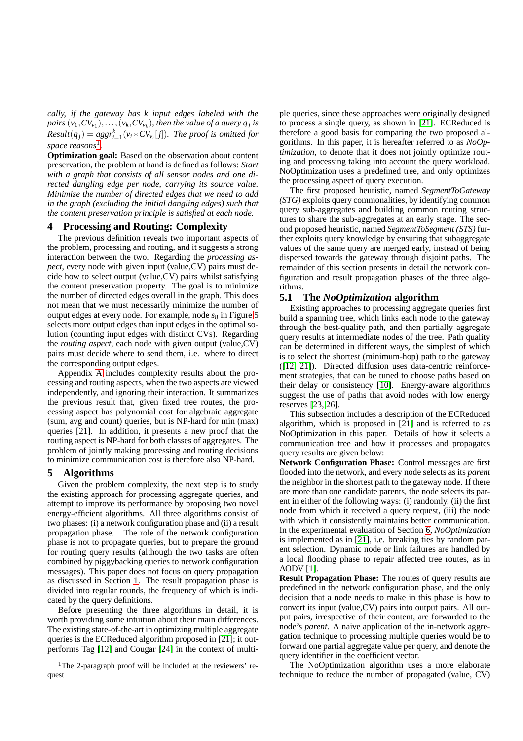*cally, if the gateway has k input edges labeled with the* pairs  $(v_1, CV_{v_1}), \ldots, (v_k, CV_{v_k}),$  then the value of a query  $q_j$  is  $Result(q_j) = aggr_{i=1}^k(v_i * CV_{v_i}[j])$ *. The proof is omitted for space reasons*[1](#page-3-2) *.*

**Optimization goal:** Based on the observation about content preservation, the problem at hand is defined as follows: *Start with a graph that consists of all sensor nodes and one directed dangling edge per node, carrying its source value. Minimize the number of directed edges that we need to add in the graph (excluding the initial dangling edges) such that the content preservation principle is satisfied at each node.*

#### <span id="page-3-0"></span>**4 Processing and Routing: Complexity**

The previous definition reveals two important aspects of the problem, processing and routing, and it suggests a strong interaction between the two. Regarding the *processing aspect*, every node with given input (value,CV) pairs must decide how to select output (value,CV) pairs whilst satisfying the content preservation property. The goal is to minimize the number of directed edges overall in the graph. This does not mean that we must necessarily minimize the number of output edges at every node. For example, node  $s_8$  in Figure [5](#page-5-0) selects more output edges than input edges in the optimal solution (counting input edges with distinct CVs). Regarding the *routing aspect*, each node with given output (value,CV) pairs must decide where to send them, i.e. where to direct the corresponding output edges.

Appendix [A](#page-11-0) includes complexity results about the processing and routing aspects, when the two aspects are viewed independently, and ignoring their interaction. It summarizes the previous result that, given fixed tree routes, the processing aspect has polynomial cost for algebraic aggregate (sum, avg and count) queries, but is NP-hard for min (max) queries [\[21\]](#page-12-4). In addition, it presents a new proof that the routing aspect is NP-hard for both classes of aggregates. The problem of jointly making processing and routing decisions to minimize communication cost is therefore also NP-hard.

## <span id="page-3-1"></span>**5 Algorithms**

Given the problem complexity, the next step is to study the existing approach for processing aggregate queries, and attempt to improve its performance by proposing two novel energy-efficient algorithms. All three algorithms consist of two phases: (i) a network configuration phase and (ii) a result propagation phase. The role of the network configuration phase is not to propagate queries, but to prepare the ground for routing query results (although the two tasks are often combined by piggybacking queries to network configuration messages). This paper does not focus on query propagation as discussed in Section [1.](#page-0-0) The result propagation phase is divided into regular rounds, the frequency of which is indicated by the query definitions.

Before presenting the three algorithms in detail, it is worth providing some intuition about their main differences. The existing state-of-the-art in optimizing multiple aggregate queries is the ECReduced algorithm proposed in [\[21\]](#page-12-4); it outperforms Tag [\[12\]](#page-12-1) and Cougar [\[24\]](#page-12-5) in the context of multiple queries, since these approaches were originally designed to process a single query, as shown in [\[21\]](#page-12-4). ECReduced is therefore a good basis for comparing the two proposed algorithms. In this paper, it is hereafter referred to as *NoOptimization*, to denote that it does not jointly optimize routing and processing taking into account the query workload. NoOptimization uses a predefined tree, and only optimizes the processing aspect of query execution.

The first proposed heuristic, named *SegmentToGateway (STG)* exploits query commonalities, by identifying common query sub-aggregates and building common routing structures to share the sub-aggregates at an early stage. The second proposed heuristic, named *SegmentToSegment (STS)* further exploits query knowledge by ensuring that subaggregate values of the same query are merged early, instead of being dispersed towards the gateway through disjoint paths. The remainder of this section presents in detail the network configuration and result propagation phases of the three algorithms.

#### **5.1 The** *NoOptimization* **algorithm**

Existing approaches to processing aggregate queries first build a spanning tree, which links each node to the gateway through the best-quality path, and then partially aggregate query results at intermediate nodes of the tree. Path quality can be determined in different ways, the simplest of which is to select the shortest (minimum-hop) path to the gateway ([\[12,](#page-12-1) [21\]](#page-12-4)). Directed diffusion uses data-centric reinforcement strategies, that can be tuned to choose paths based on their delay or consistency [\[10\]](#page-12-0). Energy-aware algorithms suggest the use of paths that avoid nodes with low energy reserves [\[23,](#page-12-2) [26\]](#page-12-3).

This subsection includes a description of the ECReduced algorithm, which is proposed in [\[21\]](#page-12-4) and is referred to as NoOptimization in this paper. Details of how it selects a communication tree and how it processes and propagates query results are given below:

**Network Configuration Phase:** Control messages are first flooded into the network, and every node selects as its *parent* the neighbor in the shortest path to the gateway node. If there are more than one candidate parents, the node selects its parent in either of the following ways: (i) randomly, (ii) the first node from which it received a query request, (iii) the node with which it consistently maintains better communication. In the experimental evaluation of Section [6,](#page-6-0) *NoOptimization* is implemented as in [\[21\]](#page-12-4), i.e. breaking ties by random parent selection. Dynamic node or link failures are handled by a local flooding phase to repair affected tree routes, as in AODV [\[1\]](#page-11-1).

**Result Propagation Phase:** The routes of query results are predefined in the network configuration phase, and the only decision that a node needs to make in this phase is how to convert its input (value,CV) pairs into output pairs. All output pairs, irrespective of their content, are forwarded to the node's *parent*. A naive application of the in-network aggregation technique to processing multiple queries would be to forward one partial aggregate value per query, and denote the query identifier in the coefficient vector.

The NoOptimization algorithm uses a more elaborate technique to reduce the number of propagated (value, CV)

<span id="page-3-2"></span><sup>&</sup>lt;sup>1</sup>The 2-paragraph proof will be included at the reviewers' request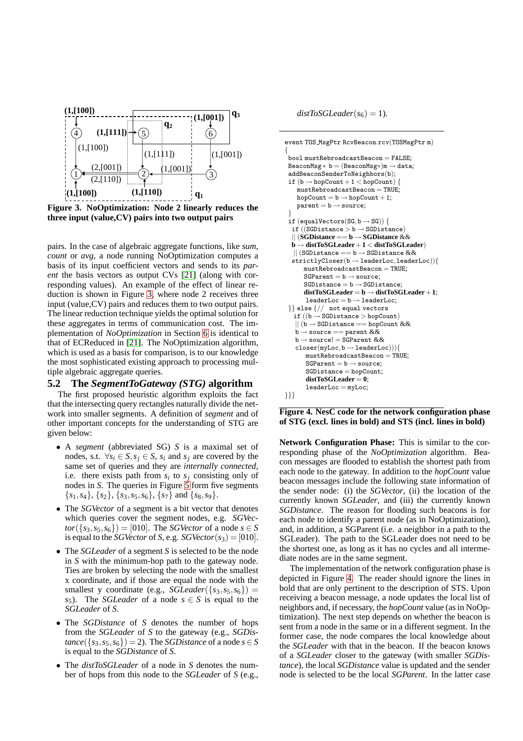

<span id="page-4-0"></span>**Figure 3. NoOptimization: Node 2 linearly reduces the three input (value,CV) pairs into two output pairs**

pairs. In the case of algebraic aggregate functions, like *sum*, *count* or *avg*, a node running NoOptimization computes a basis of its input coefficient vectors and sends to its *parent* the basis vectors as output CVs [\[21\]](#page-12-4) (along with corresponding values). An example of the effect of linear reduction is shown in Figure [3,](#page-4-0) where node 2 receives three input (value,CV) pairs and reduces them to two output pairs. The linear reduction technique yields the optimal solution for these aggregates in terms of communication cost. The implementation of *NoOptimization* in Section [6](#page-6-0) is identical to that of ECReduced in [\[21\]](#page-12-4). The NoOptimization algorithm, which is used as a basis for comparison, is to our knowledge the most sophisticated existing approach to processing multiple algebraic aggregate queries.

#### **5.2 The** *SegmentToGateway (STG)* **algorithm**

The first proposed heuristic algorithm exploits the fact that the intersecting query rectangles naturally divide the network into smaller segments. A definition of *segment* and of other important concepts for the understanding of STG are given below:

- A *segment* (abbreviated SG) *S* is a maximal set of nodes, s.t.  $\forall s_i \in S, s_j \in S, s_i$  and  $s_j$  are covered by the same set of queries and they are *internally connected*, i.e. there exists path from  $s_i$  to  $s_j$  consisting only of nodes in *S*. The queries in Figure [5](#page-5-0) form five segments  $\{s_1, s_4\}, \{s_2\}, \{s_3, s_5, s_6\}, \{s_7\}$  and  $\{s_8, s_9\}.$
- The *SGVector* of a segment is a bit vector that denotes which queries cover the segment nodes, e.g. *SGVec* $tor({s_3, s_5, s_6}) = [010]$ . The *SGVector* of a node  $s \in S$ is equal to the *SGVector* of *S*, e.g. *SGVector*( $s_3$ ) = [010].
- The *SGLeader* of a segment *S* is selected to be the node in *S* with the minimum-hop path to the gateway node. Ties are broken by selecting the node with the smallest x coordinate, and if those are equal the node with the smallest y coordinate (e.g., *SGLeader*({ $s_3$ , $s_5$ , $s_6$ }) = *s*<sub>5</sub>). The *SGLeader* of a node  $s \in S$  is equal to the *SGLeader* of *S*.
- The *SGDistance* of *S* denotes the number of hops from the *SGLeader* of *S* to the gateway (e.g., *SGDis* $tance({s_3, s_5, s_6}) = 2$ . The *SGDistance* of a node  $s \in S$ is equal to the *SGDistance* of *S*.
- The *distToSGLeader* of a node in *S* denotes the number of hops from this node to the *SGLeader* of *S* (e.g.,

 $distToSGLeader(s_6) = 1).$ 

```
event TOS MsgPtr RcvBeacon.rcv(TOSMsgPtr m)
{
 \overline{b}bool mustRebroadcastBeacon = FALSE;
 BeaconMsg * b = (BeaconMsg*)m \rightarrow data;addBeaconSenderToNeighbors(b);
 if (b \rightarrow hopCount+1 < hopCount) {
    mustRebroadcastBeacon = TRUE;hopCount = b \rightarrow hopCount+1;parent = b \rightarrow source;}
 if (equalVectors(SG, b \rightarrow SG)) {
  if ((SGDistance > b \rightarrow SGDistance)|| (SGDistance == b → SGDistance &&
  b → distToSGLeader+1 < distToSGLeader)
   || (SGDistance == b \rightarrow SGDistance &&
  strictlyCloser(b \rightarrow leaderLoc, leaderLoc))mustRebroadcastBeacon = TRUE;SGParent = b \rightarrow source;SGDistance = b \rightarrow SGDistance:
       distToSGLeader = b → distToSGLeader+1;
        \texttt{leaderLoc} = \texttt{b} \rightarrow \texttt{leaderLoc}\}} else \frac{1}{2} not equal vectors
   \overrightarrow{if} ((b \rightarrow SGD istance > hopCount)
    || (b \rightarrow \text{SGDistance} == \text{hopCount} \&\&b \rightarrow source == parent \&\&\mathtt{b}\rightarrow\mathtt{source!}=\mathtt{SGParent}\ \&\&\texttt{closer}(\texttt{myLoc},\texttt{b} \rightarrow \texttt{leaderLoc}))){
        mustRebroadcastBeacon = TRUE;
        SGParent = b \rightarrow source;SGDistance = hopCount;distToSGLeader = 0;
        leaderLoc = myLoc;}}}
```
<span id="page-4-1"></span>**Figure 4. NesC code for the network configuration phase of STG (excl. lines in bold) and STS (incl. lines in bold)**

**Network Configuration Phase:** This is similar to the corresponding phase of the *NoOptimization* algorithm. Beacon messages are flooded to establish the shortest path from each node to the gateway. In addition to the *hopCount* value beacon messages include the following state information of the sender node: (i) the *SGVector*, (ii) the location of the currently known *SGLeader*, and (iii) the currently known *SGDistance*. The reason for flooding such beacons is for each node to identify a parent node (as in NoOptimization), and, in addition, a SGParent (i.e. a neighbor in a path to the SGLeader). The path to the SGLeader does not need to be the shortest one, as long as it has no cycles and all intermediate nodes are in the same segment.

The implementation of the network configuration phase is depicted in Figure [4.](#page-4-1) The reader should ignore the lines in bold that are only pertinent to the description of STS. Upon receiving a beacon message, a node updates the local list of neighbors and, if necessary, the *hopCount* value (asin NoOptimization). The next step depends on whether the beacon is sent from a node in the same or in a different segment. In the former case, the node compares the local knowledge about the *SGLeader* with that in the beacon. If the beacon knows of a *SGLeader* closer to the gateway (with smaller *SGDistance*), the local *SGDistance* value is updated and the sender node is selected to be the local *SGParent*. In the latter case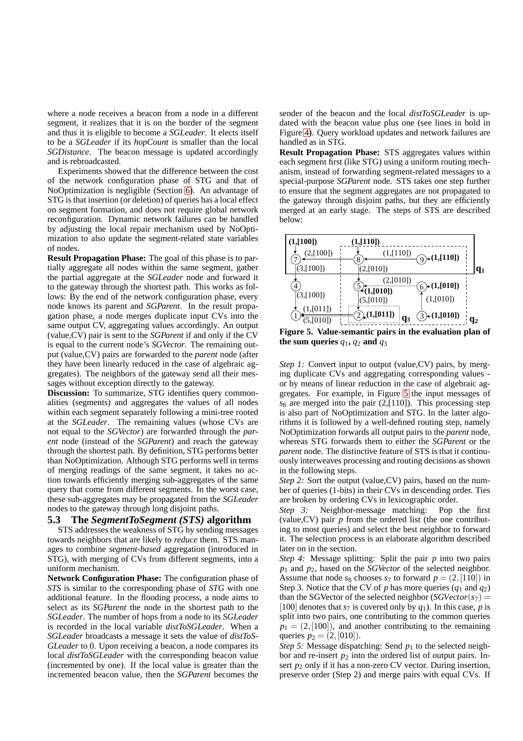where a node receives a beacon from a node in a different segment, it realizes that it is on the border of the segment and thus it is eligible to become a *SGLeader*. It elects itself to be a *SGLeader* if its *hopCount* is smaller than the local *SGDistance*. The beacon message is updated accordingly and is rebroadcasted.

Experiments showed that the difference between the cost of the network configuration phase of STG and that of NoOptimization is negligible (Section [6\)](#page-6-0). An advantage of STG isthat insertion (or deletion) of queries has a local effect on segment formation, and does not require global network reconfiguration. Dynamic network failures can be handled by adjusting the local repair mechanism used by NoOptimization to also update the segment-related state variables of nodes.

**Result Propagation Phase:** The goal of this phase is to partially aggregate all nodes within the same segment, gather the partial aggregate at the *SGLeader* node and forward it to the gateway through the shortest path. This works as follows: By the end of the network configuration phase, every node knows its parent and *SGParent*. In the result propagation phase, a node merges duplicate input CVs into the same output CV, aggregating values accordingly. An output (value,CV) pair is sent to the *SGParent* if and only if the CV is equal to the current node's *SGVector*. The remaining output (value,CV) pairs are forwarded to the *parent* node (after they have been linearly reduced in the case of algebraic aggregates). The neighbors of the gateway send all their messages without exception directly to the gateway.

**Discussion:** To summarize, STG identifies query commonalities (segments) and aggregates the values of all nodes within each segment separately following a mini-tree rooted at the *SGLeader*. The remaining values (whose CVs are not equal to the *SGVector*) are forwarded through the *parent* node (instead of the *SGParent*) and reach the gateway through the shortest path. By definition, STG performs better than NoOptimization. Although STG performs well in terms of merging readings of the same segment, it takes no action towards efficiently merging sub-aggregates of the same query that come from different segments. In the worst case, these sub-aggregates may be propagated from the *SGLeader* nodes to the gateway through long disjoint paths.

## **5.3 The** *SegmentToSegment (STS)* **algorithm**

STS addresses the weakness of STG by sending messages towards neighbors that are likely to *reduce* them. STS manages to combine *segment-based* aggregation (introduced in STG), with merging of CVs from different segments, into a uniform mechanism.

**Network Configuration Phase:** The configuration phase of *STS* is similar to the corresponding phase of *STG* with one additional feature. In the flooding process, a node aims to select as its *SGParent* the node in the shortest path to the *SGLeader*. The number of hops from a node to its *SGLeader* is recorded in the local variable *distToSGLeader*. When a *SGLeader* broadcasts a message it sets the value of *distToS-GLeader* to 0. Upon receiving a beacon, a node compares its local *distToSGLeader* with the corresponding beacon value (incremented by one). If the local value is greater than the incremented beacon value, then the *SGParent* becomes the

sender of the beacon and the local *distToSGLeader* is updated with the beacon value plus one (see lines in bold in Figure [4\)](#page-4-1). Query workload updates and network failures are handled as in STG.

**Result Propagation Phase:** STS aggregates values within each segment first (like STG) using a uniform routing mechanism, instead of forwarding segment-related messages to a special-purpose *SGParent* node. STS takes one step further to ensure that the segment aggregates are not propagated to the gateway through disjoint paths, but they are efficiently merged at an early stage. The steps of STS are described below:



<span id="page-5-0"></span>**Figure 5. Value-semantic pairs in the evaluation plan of the** sum queries  $q_1$ ,  $q_2$  and  $q_3$ 

*Step 1:* Convert input to output (value, CV) pairs, by merging duplicate CVs and aggregating corresponding values or by means of linear reduction in the case of algebraic aggregates. For example, in Figure [5](#page-5-0) the input messages of  $s_8$  are merged into the pair  $(2,110)$ . This processing step is also part of NoOptimization and STG. In the latter algorithms it is followed by a well-defined routing step, namely NoOptimization forwards all output pairs to the *parent* node, whereas STG forwards them to either the *SGParent* or the *parent* node. The distinctive feature of STS is that it continuously interweaves processing and routing decisions as shown in the following steps.

*Step 2:* Sort the output (value,CV) pairs, based on the number of queries (1-bits) in their CVs in descending order. Ties are broken by ordering CVs in lexicographic order.

*Step 3:* Neighbor-message matching: Pop the first (value,CV) pair *p* from the ordered list (the one contributing to most queries) and select the best neighbor to forward it. The selection process is an elaborate algorithm described later on in the section.

*Step 4:* Message splitting: Split the pair *p* into two pairs *p*<sup>1</sup> and *p*2, based on the *SGVector* of the selected neighbor. Assume that node  $s_8$  chooses  $s_7$  to forward  $p = (2, [110])$  in Step 3. Notice that the CV of  $p$  has more queries  $(q_1 \text{ and } q_2)$ than the SGVector of the selected neighbor  $(SGVector(s<sub>7</sub>) =$ [100] denotes that  $s_7$  is covered only by  $q_1$ ). In this case, p is split into two pairs, one contributing to the common queries  $p_1 = (2, [100])$ , and another contributing to the remaining queries  $p_2 = (2, [010])$ .

*Step* 5: Message dispatching: Send  $p_1$  to the selected neighbor and re-insert  $p_2$  into the ordered list of output pairs. Insert  $p_2$  only if it has a non-zero CV vector. During insertion, preserve order (Step 2) and merge pairs with equal CVs. If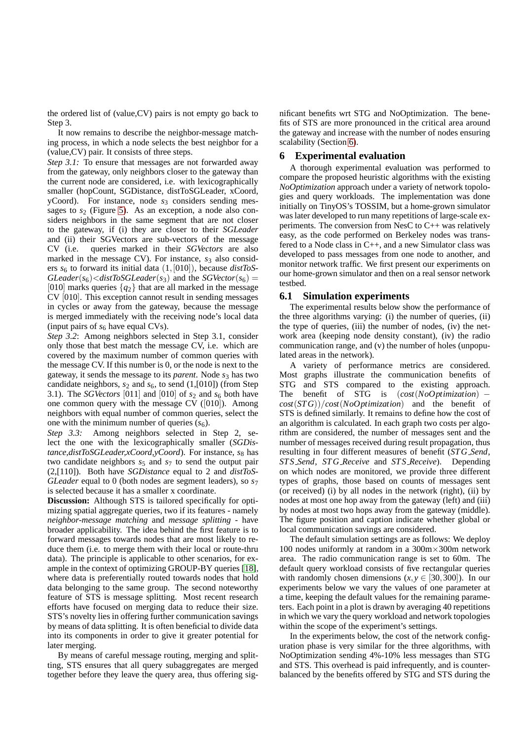the ordered list of (value,CV) pairs is not empty go back to Step 3.

It now remains to describe the neighbor-message matching process, in which a node selects the best neighbor for a (value,CV) pair. It consists of three steps.

*Step* 3.1: To ensure that messages are not forwarded away from the gateway, only neighbors closer to the gateway than the current node are considered, i.e. with lexicographically smaller (hopCount, SGDistance, distToSGLeader, xCoord, yCoord). For instance, node  $s_3$  considers sending messages to  $s_2$  (Figure [5\)](#page-5-0). As an exception, a node also considers neighbors in the same segment that are not closer to the gateway, if (i) they are closer to their *SGLeader* and (ii) their SGVectors are sub-vectors of the message CV (i.e. queries marked in their *SGVectors* are also marked in the message CV). For instance,  $s<sub>3</sub>$  also considers  $s_6$  to forward its initial data  $(1, [010])$ , because *distToS*- $GLeader(s_6) \leq distToSGLeader(s_3)$  and the *SGVector*( $s_6$ ) = [010] marks queries {*q*2} that are all marked in the message CV [010]. This exception cannot result in sending messages in cycles or away from the gateway, because the message is merged immediately with the receiving node's local data (input pairs of  $s_6$  have equal CVs).

*Step 3.2*: Among neighbors selected in Step 3.1, consider only those that best match the message CV, i.e. which are covered by the maximum number of common queries with the message CV. If this number is 0, or the node is next to the gateway, it sends the message to its *parent*. Node *s*<sup>3</sup> has two candidate neighbors,  $s_2$  and  $s_6$ , to send (1,[010]) (from Step 3.1). The *SGVectors* [011] and [010] of  $s_2$  and  $s_6$  both have one common query with the message CV ([010]). Among neighbors with equal number of common queries, select the one with the minimum number of queries  $(s<sub>6</sub>)$ .

*Step 3.3:* Among neighbors selected in Step 2, select the one with the lexicographically smaller (*SGDistance,distToSGLeader,xCoord,yCoord*). For instance, *s*<sub>8</sub> has two candidate neighbors  $s_5$  and  $s_7$  to send the output pair (2,[110]). Both have *SGDistance* equal to 2 and *distToS-GLeader* equal to 0 (both nodes are segment leaders), so  $s<sub>7</sub>$ is selected because it has a smaller x coordinate.

**Discussion:** Although STS is tailored specifically for optimizing spatial aggregate queries, two if its features - namely *neighbor-message matching* and *message splitting* - have broader applicability. The idea behind the first feature is to forward messages towards nodes that are most likely to reduce them (i.e. to merge them with their local or route-thru data). The principle is applicable to other scenarios, for example in the context of optimizing GROUP-BY queries [\[18\]](#page-12-6), where data is preferentially routed towards nodes that hold data belonging to the same group. The second noteworthy feature of STS is message splitting. Most recent research efforts have focused on merging data to reduce their size. STS's novelty lies in offering further communication savings by means of data splitting. It is often beneficial to divide data into its components in order to give it greater potential for later merging.

By means of careful message routing, merging and splitting, STS ensures that all query subaggregates are merged together before they leave the query area, thus offering significant benefits wrt STG and NoOptimization. The benefits of STS are more pronounced in the critical area around the gateway and increase with the number of nodes ensuring scalability (Section [6\)](#page-6-0).

## <span id="page-6-0"></span>**6 Experimental evaluation**

A thorough experimental evaluation was performed to compare the proposed heuristic algorithms with the existing *NoOptimization* approach under a variety of network topologies and query workloads. The implementation was done initially on TinyOS's TOSSIM, but a home-grown simulator was later developed to run many repetitions of large-scale experiments. The conversion from NesC to C++ was relatively easy, as the code performed on Berkeley nodes was transfered to a Node class in C++, and a new Simulator class was developed to pass messages from one node to another, and monitor network traffic. We first present our experiments on our home-grown simulator and then on a real sensor network testbed.

## **6.1 Simulation experiments**

The experimental results below show the performance of the three algorithms varying: (i) the number of queries, (ii) the type of queries, (iii) the number of nodes, (iv) the network area (keeping node density constant), (iv) the radio communication range, and (v) the number of holes (unpopulated areas in the network).

A variety of performance metrics are considered. Most graphs illustrate the communication benefits of STG and STS compared to the existing approach. The benefit of STG is (*cost*(*NoOptimization*) − *cost*(*STG*))/*cost*(*NoOptimization*) and the benefit of STS is defined similarly. It remains to define how the cost of an algorithm is calculated. In each graph two costs per algorithm are considered, the number of messages sent and the number of messages received during result propagation, thus resulting in four different measures of benefit (*STG Send*, *STS Send*, *STG Receive* and *STS Receive*). Depending on which nodes are monitored, we provide three different types of graphs, those based on counts of messages sent (or received) (i) by all nodes in the network (right), (ii) by nodes at most one hop away from the gateway (left) and (iii) by nodes at most two hops away from the gateway (middle). The figure position and caption indicate whether global or local communication savings are considered.

The default simulation settings are as follows: We deploy 100 nodes uniformly at random in a 300m×300m network area. The radio communication range is set to 60m. The default query workload consists of five rectangular queries with randomly chosen dimensions  $(x, y \in [30, 300])$ . In our experiments below we vary the values of one parameter at a time, keeping the default values for the remaining parameters. Each point in a plot is drawn by averaging 40 repetitions in which we vary the query workload and network topologies within the scope of the experiment's settings.

In the experiments below, the cost of the network configuration phase is very similar for the three algorithms, with NoOptimization sending 4%-10% less messages than STG and STS. This overhead is paid infrequently, and is counterbalanced by the benefits offered by STG and STS during the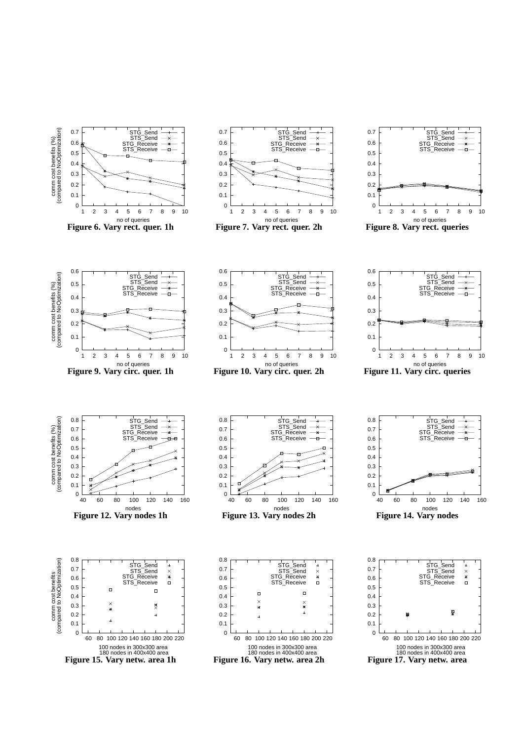<span id="page-7-11"></span><span id="page-7-10"></span><span id="page-7-9"></span><span id="page-7-8"></span><span id="page-7-7"></span><span id="page-7-6"></span><span id="page-7-5"></span><span id="page-7-4"></span><span id="page-7-3"></span><span id="page-7-2"></span><span id="page-7-1"></span><span id="page-7-0"></span>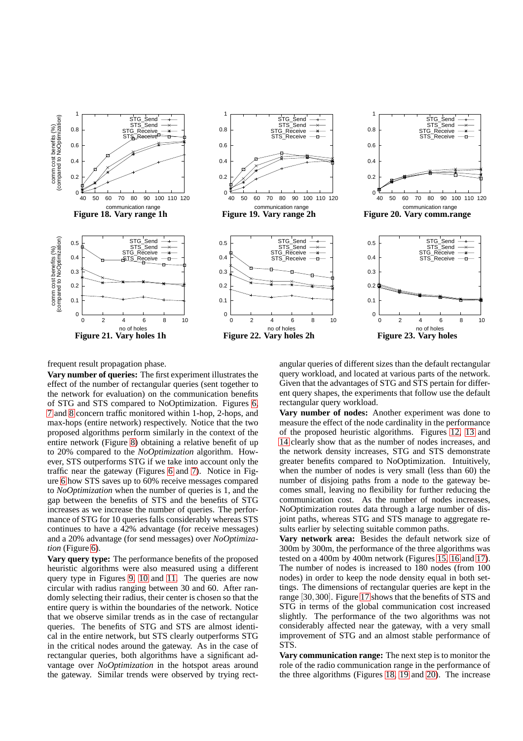<span id="page-8-0"></span>

<span id="page-8-3"></span>frequent result propagation phase.

**Vary number of queries:** The first experiment illustrates the effect of the number of rectangular queries (sent together to the network for evaluation) on the communication benefits of STG and STS compared to NoOptimization. Figures [6,](#page-7-0) [7](#page-7-1) and [8](#page-7-2) concern traffic monitored within 1-hop, 2-hops, and max-hops (entire network) respectively. Notice that the two proposed algorithms perform similarly in the context of the entire network (Figure [8\)](#page-7-2) obtaining a relative benefit of up to 20% compared to the *NoOptimization* algorithm. However, STS outperforms STG if we take into account only the traffic near the gateway (Figures [6](#page-7-0) and [7\)](#page-7-1). Notice in Figure [6](#page-7-0) how STS saves up to 60% receive messages compared to *NoOptimization* when the number of queries is 1, and the gap between the benefits of STS and the benefits of STG increases as we increase the number of queries. The performance of STG for 10 queries falls considerably whereas STS continues to have a 42% advantage (for receive messages) and a 20% advantage (for send messages) over *NoOptimization* (Figure [6\)](#page-7-0).

**Vary query type:** The performance benefits of the proposed heuristic algorithms were also measured using a different query type in Figures [9,](#page-7-3) [10](#page-7-4) and [11.](#page-7-5) The queries are now circular with radius ranging between 30 and 60. After randomly selecting their radius, their center is chosen so that the entire query is within the boundaries of the network. Notice that we observe similar trends as in the case of rectangular queries. The benefits of STG and STS are almost identical in the entire network, but STS clearly outperforms STG in the critical nodes around the gateway. As in the case of rectangular queries, both algorithms have a significant advantage over *NoOptimization* in the hotspot areas around the gateway. Similar trends were observed by trying rect<span id="page-8-5"></span><span id="page-8-4"></span><span id="page-8-2"></span><span id="page-8-1"></span>angular queries of different sizes than the default rectangular query workload, and located at various parts of the network. Given that the advantages of STG and STS pertain for different query shapes, the experiments that follow use the default rectangular query workload.

**Vary number of nodes:** Another experiment was done to measure the effect of the node cardinality in the performance of the proposed heuristic algorithms. Figures [12,](#page-7-6) [13](#page-7-7) and [14](#page-7-8) clearly show that as the number of nodes increases, and the network density increases, STG and STS demonstrate greater benefits compared to NoOptimization. Intuitively, when the number of nodes is very small (less than 60) the number of disjoing paths from a node to the gateway becomes small, leaving no flexibility for further reducing the communication cost. As the number of nodes increases, NoOptimization routes data through a large number of disjoint paths, whereas STG and STS manage to aggregate results earlier by selecting suitable common paths.

**Vary network area:** Besides the default network size of 300m by 300m, the performance of the three algorithms was tested on a 400m by 400m network (Figures [15,](#page-7-9) [16](#page-7-10) and [17\)](#page-7-11). The number of nodes is increased to 180 nodes (from 100 nodes) in order to keep the node density equal in both settings. The dimensions of rectangular queries are kept in the range [30,300]. Figure [17](#page-7-11) shows that the benefits of STS and STG in terms of the global communication cost increased slightly. The performance of the two algorithms was not considerably affected near the gateway, with a very small improvement of STG and an almost stable performance of STS.

**Vary communication range:** The next step is to monitor the role of the radio communication range in the performance of the three algorithms (Figures [18,](#page-8-0) [19](#page-8-1) and [20\)](#page-8-2). The increase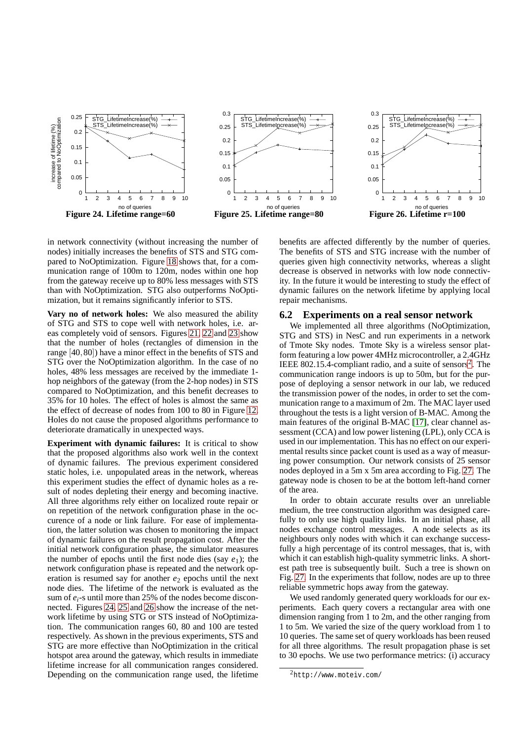



<span id="page-9-0"></span>in network connectivity (without increasing the number of nodes) initially increases the benefits of STS and STG compared to NoOptimization. Figure [18](#page-8-0) shows that, for a communication range of 100m to 120m, nodes within one hop from the gateway receive up to 80% less messages with STS than with NoOptimization. STG also outperforms NoOptimization, but it remains significantly inferior to STS.

**Vary no of network holes:** We also measured the ability of STG and STS to cope well with network holes, i.e. areas completely void of sensors. Figures [21,](#page-8-3) [22](#page-8-4) and [23](#page-8-5) show that the number of holes (rectangles of dimension in the range [40,80]) have a minor effect in the benefits of STS and STG over the NoOptimization algorithm. In the case of no holes, 48% less messages are received by the immediate 1 hop neighbors of the gateway (from the 2-hop nodes) in STS compared to NoOptimization, and this benefit decreases to 35% for 10 holes. The effect of holes is almost the same as the effect of decrease of nodes from 100 to 80 in Figure [12.](#page-7-6) Holes do not cause the proposed algorithms performance to deteriorate dramatically in unexpected ways.

**Experiment with dynamic failures:** It is critical to show that the proposed algorithms also work well in the context of dynamic failures. The previous experiment considered static holes, i.e. unpopulated areas in the network, whereas this experiment studies the effect of dynamic holes as a result of nodes depleting their energy and becoming inactive. All three algorithms rely either on localized route repair or on repetition of the network configuration phase in the occurence of a node or link failure. For ease of implementation, the latter solution was chosen to monitoring the impact of dynamic failures on the result propagation cost. After the initial network configuration phase, the simulator measures the number of epochs until the first node dies (say  $e_1$ ); the network configuration phase is repeated and the network operation is resumed say for another  $e_2$  epochs until the next node dies. The lifetime of the network is evaluated as the sum of *ei*-s until more than 25% of the nodes become disconnected. Figures [24,](#page-9-0) [25](#page-9-1) and [26](#page-9-2) show the increase of the network lifetime by using STG or STS instead of NoOptimization. The communication ranges 60, 80 and 100 are tested respectively. As shown in the previous experiments, STS and STG are more effective than NoOptimization in the critical hotspot area around the gateway, which results in immediate lifetime increase for all communication ranges considered. Depending on the communication range used, the lifetime

<span id="page-9-2"></span><span id="page-9-1"></span>benefits are affected differently by the number of queries. The benefits of STS and STG increase with the number of queries given high connectivity networks, whereas a slight decrease is observed in networks with low node connectivity. In the future it would be interesting to study the effect of dynamic failures on the network lifetime by applying local repair mechanisms.

#### **6.2 Experiments on a real sensor network**

We implemented all three algorithms (NoOptimization, STG and STS) in NesC and run experiments in a network of Tmote Sky nodes. Tmote Sky is a wireless sensor platform featuring a low power 4MHz microcontroller, a 2.4GHz IEEE 80[2](#page-9-3).15.4-compliant radio, and a suite of sensors<sup>2</sup>. The communication range indoors is up to 50m, but for the purpose of deploying a sensor network in our lab, we reduced the transmission power of the nodes, in order to set the communication range to a maximum of 2m. The MAC layer used throughout the tests is a light version of B-MAC. Among the main features of the original B-MAC [\[17\]](#page-12-7), clear channel assessment (CCA) and low power listening (LPL), only CCA is used in our implementation. This has no effect on our experimental results since packet count is used as a way of measuring power consumption. Our network consists of 25 sensor nodes deployed in a 5m x 5m area according to Fig. [27.](#page-10-0) The gateway node is chosen to be at the bottom left-hand corner of the area.

In order to obtain accurate results over an unreliable medium, the tree construction algorithm was designed carefully to only use high quality links. In an initial phase, all nodes exchange control messages. A node selects as its neighbours only nodes with which it can exchange successfully a high percentage of its control messages, that is, with which it can establish high-quality symmetric links. A shortest path tree is subsequently built. Such a tree is shown on Fig. [27.](#page-10-0) In the experiments that follow, nodes are up to three reliable symmetric hops away from the gateway.

We used randomly generated query workloads for our experiments. Each query covers a rectangular area with one dimension ranging from 1 to 2m, and the other ranging from 1 to 5m. We varied the size of the query workload from 1 to 10 queries. The same set of query workloads has been reused for all three algorithms. The result propagation phase is set to 30 epochs. We use two performance metrics: (i) accuracy

<span id="page-9-3"></span><sup>2</sup>http://www.moteiv.com/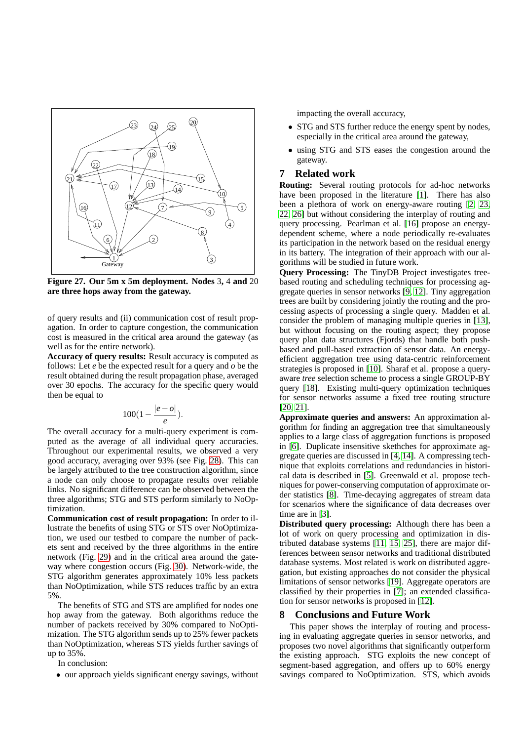

<span id="page-10-0"></span>**Figure 27. Our 5m x 5m deployment. Nodes** 3**,** 4 **and** 20 **are three hops away from the gateway.**

of query results and (ii) communication cost of result propagation. In order to capture congestion, the communication cost is measured in the critical area around the gateway (as well as for the entire network).

**Accuracy of query results:** Result accuracy is computed as follows: Let *e* be the expected result for a query and *o* be the result obtained during the result propagation phase, averaged over 30 epochs. The accuracy for the specific query would then be equal to

$$
100(1-\frac{|e-o|}{e}).
$$

The overall accuracy for a multi-query experiment is computed as the average of all individual query accuracies. Throughout our experimental results, we observed a very good accuracy, averaging over 93% (see Fig. [28\)](#page-11-2). This can be largely attributed to the tree construction algorithm, since a node can only choose to propagate results over reliable links. No significant difference can be observed between the three algorithms; STG and STS perform similarly to NoOptimization.

**Communication cost of result propagation:** In order to illustrate the benefits of using STG or STS over NoOptimization, we used our testbed to compare the number of packets sent and received by the three algorithms in the entire network (Fig. [29\)](#page-11-3) and in the critical area around the gateway where congestion occurs (Fig. [30\)](#page-11-4). Network-wide, the STG algorithm generates approximately 10% less packets than NoOptimization, while STS reduces traffic by an extra 5%.

The benefits of STG and STS are amplified for nodes one hop away from the gateway. Both algorithms reduce the number of packets received by 30% compared to NoOptimization. The STG algorithm sends up to 25% fewer packets than NoOptimization, whereas STS yields further savings of up to 35%.

In conclusion:

• our approach yields significant energy savings, without

impacting the overall accuracy,

- STG and STS further reduce the energy spent by nodes, especially in the critical area around the gateway,
- using STG and STS eases the congestion around the gateway.

## **7 Related work**

**Routing:** Several routing protocols for ad-hoc networks have been proposed in the literature [\[1\]](#page-11-1). There has also been a plethora of work on energy-aware routing [\[2,](#page-11-5) [23,](#page-12-2) [22,](#page-12-8) [26\]](#page-12-3) but without considering the interplay of routing and query processing. Pearlman et al. [\[16\]](#page-12-9) propose an energydependent scheme, where a node periodically re-evaluates its participation in the network based on the residual energy in its battery. The integration of their approach with our algorithms will be studied in future work.

**Query Processing:** The TinyDB Project investigates treebased routing and scheduling techniques for processing aggregate queries in sensor networks [\[9,](#page-12-10) [12\]](#page-12-1). Tiny aggregation trees are built by considering jointly the routing and the processing aspects of processing a single query. Madden et al. consider the problem of managing multiple queries in [\[13\]](#page-12-11), but without focusing on the routing aspect; they propose query plan data structures (Fjords) that handle both pushbased and pull-based extraction of sensor data. An energyefficient aggregation tree using data-centric reinforcement strategies is proposed in [\[10\]](#page-12-0). Sharaf et al. propose a queryaware *tree* selection scheme to process a single GROUP-BY query [\[18\]](#page-12-6). Existing multi-query optimization techniques for sensor networks assume a fixed tree routing structure [\[20,](#page-12-12) [21\]](#page-12-4).

**Approximate queries and answers:** An approximation algorithm for finding an aggregation tree that simultaneously applies to a large class of aggregation functions is proposed in [\[6\]](#page-12-13). Duplicate insensitive skethches for approximate aggregate queries are discussed in [\[4,](#page-12-14) [14\]](#page-12-15). A compressing technique that exploits correlations and redundancies in historical data is described in [\[5\]](#page-12-16). Greenwald et al. propose techniques for power-conserving computation of approximate order statistics [\[8\]](#page-12-17). Time-decaying aggregates of stream data for scenarios where the significance of data decreases over time are in [\[3\]](#page-11-6).

**Distributed query processing:** Although there has been a lot of work on query processing and optimization in distributed database systems [\[11,](#page-12-18) [15,](#page-12-19) [25\]](#page-12-20), there are major differences between sensor networks and traditional distributed database systems. Most related is work on distributed aggregation, but existing approaches do not consider the physical limitations of sensor networks [\[19\]](#page-12-21). Aggregate operators are classified by their properties in [\[7\]](#page-12-22); an extended classification for sensor networks is proposed in [\[12\]](#page-12-1).

## **8 Conclusions and Future Work**

This paper shows the interplay of routing and processing in evaluating aggregate queries in sensor networks, and proposes two novel algorithms that significantly outperform the existing approach. STG exploits the new concept of segment-based aggregation, and offers up to 60% energy savings compared to NoOptimization. STS, which avoids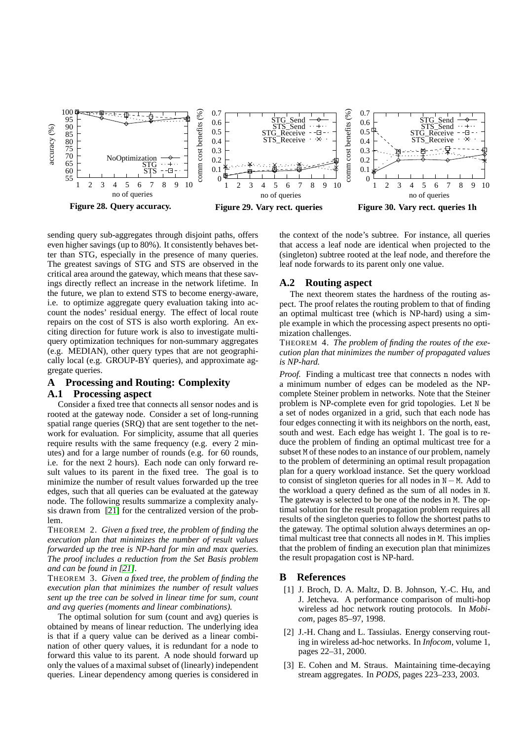

<span id="page-11-2"></span>sending query sub-aggregates through disjoint paths, offers even higher savings (up to 80%). It consistently behaves better than STG, especially in the presence of many queries. The greatest savings of STG and STS are observed in the critical area around the gateway, which means that these savings directly reflect an increase in the network lifetime. In the future, we plan to extend STS to become energy-aware, i.e. to optimize aggregate query evaluation taking into account the nodes' residual energy. The effect of local route repairs on the cost of STS is also worth exploring. An exciting direction for future work is also to investigate multiquery optimization techniques for non-summary aggregates (e.g. MEDIAN), other query types that are not geographically local (e.g. GROUP-BY queries), and approximate aggregate queries.

## <span id="page-11-0"></span>**A Processing and Routing: Complexity**

#### **A.1 Processing aspect**

Consider a fixed tree that connects all sensor nodes and is rooted at the gateway node. Consider a set of long-running spatial range queries (SRQ) that are sent together to the network for evaluation. For simplicity, assume that all queries require results with the same frequency (e.g. every 2 minutes) and for a large number of rounds (e.g. for 60 rounds, i.e. for the next 2 hours). Each node can only forward result values to its parent in the fixed tree. The goal is to minimize the number of result values forwarded up the tree edges, such that all queries can be evaluated at the gateway node. The following results summarize a complexity analysis drawn from [\[21\]](#page-12-4) for the centralized version of the problem.

THEOREM 2. *Given a fixed tree, the problem of finding the execution plan that minimizes the number of result values forwarded up the tree is NP-hard for min and max queries. The proof includes a reduction from the Set Basis problem and can be found in [\[21\]](#page-12-4).*

THEOREM 3. *Given a fixed tree, the problem of finding the execution plan that minimizes the number of result values sent up the tree can be solved in linear time for sum, count and avg queries (moments and linear combinations).*

The optimal solution for sum (count and avg) queries is obtained by means of linear reduction. The underlying idea is that if a query value can be derived as a linear combination of other query values, it is redundant for a node to forward this value to its parent. A node should forward up only the values of a maximal subset of (linearly) independent queries. Linear dependency among queries is considered in

<span id="page-11-4"></span><span id="page-11-3"></span>the context of the node's subtree. For instance, all queries that access a leaf node are identical when projected to the (singleton) subtree rooted at the leaf node, and therefore the leaf node forwards to its parent only one value.

## **A.2 Routing aspect**

The next theorem states the hardness of the routing aspect. The proof relates the routing problem to that of finding an optimal multicast tree (which is NP-hard) using a simple example in which the processing aspect presents no optimization challenges.

THEOREM 4. *The problem of finding the routes of the execution plan that minimizes the number of propagated values is NP-hard.*

*Proof.* Finding a multicast tree that connects n nodes with a minimum number of edges can be modeled as the NPcomplete Steiner problem in networks. Note that the Steiner problem is NP-complete even for grid topologies. Let N be a set of nodes organized in a grid, such that each node has four edges connecting it with its neighbors on the north, east, south and west. Each edge has weight 1. The goal is to reduce the problem of finding an optimal multicast tree for a subset M of these nodes to an instance of our problem, namely to the problem of determining an optimal result propagation plan for a query workload instance. Set the query workload to consist of singleton queries for all nodes in N−M. Add to the workload a query defined as the sum of all nodes in N. The gateway is selected to be one of the nodes in M. The optimal solution for the result propagation problem requires all results of the singleton queries to follow the shortest paths to the gateway. The optimal solution always determines an optimal multicast tree that connects all nodes in M. This implies that the problem of finding an execution plan that minimizes the result propagation cost is NP-hard.

## <span id="page-11-1"></span>**B References**

- [1] J. Broch, D. A. Maltz, D. B. Johnson, Y.-C. Hu, and J. Jetcheva. A performance comparison of multi-hop wireless ad hoc network routing protocols. In *Mobicom*, pages 85–97, 1998.
- <span id="page-11-5"></span>[2] J.-H. Chang and L. Tassiulas. Energy conserving routing in wireless ad-hoc networks. In *Infocom*, volume 1, pages 22–31, 2000.
- <span id="page-11-6"></span>[3] E. Cohen and M. Straus. Maintaining time-decaying stream aggregates. In *PODS*, pages 223–233, 2003.